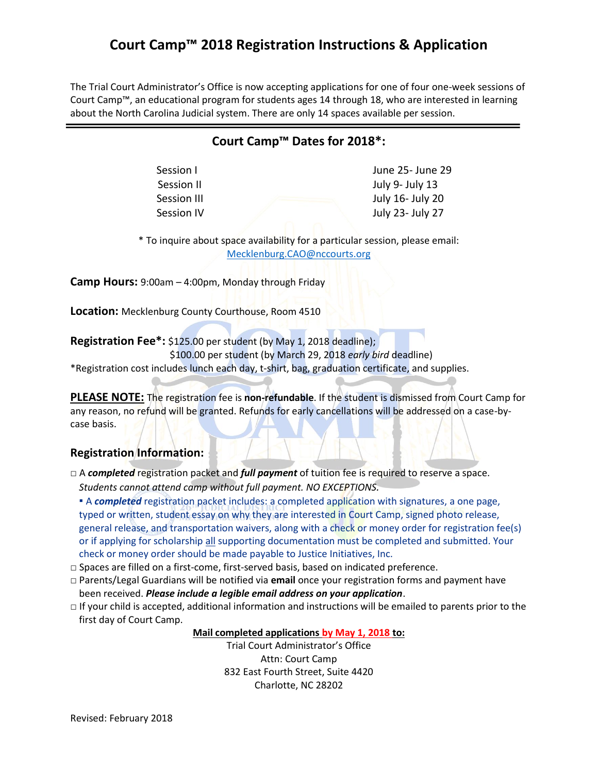The Trial Court Administrator's Office is now accepting applications for one of four one-week sessions of Court Camp™, an educational program for students ages 14 through 18, who are interested in learning about the North Carolina Judicial system. There are only 14 spaces available per session.

### **Court Camp™ Dates for 2018\*:**

Session I and Contract the Session I and June 25- June 29 Session II and July 9- July 13 Session III July 16- July 20 Session IV and July 23- July 27

\* To inquire about space availability for a particular session, please email: [Mecklenburg.CAO@nccourts.org](mailto:Mecklenburg.CAO@nccourts.org)

**Camp Hours:** 9:00am – 4:00pm, Monday through Friday

**Location:** Mecklenburg County Courthouse, Room 4510

**Registration Fee\*:** \$125.00 per student (by May 1, 2018 deadline);

\$100.00 per student (by March 29, 2018 *early bird* deadline)

\*Registration cost includes lunch each day, t-shirt, bag, graduation certificate, and supplies.

**PLEASE NOTE:** The registration fee is **non-refundable**. If the student is dismissed from Court Camp for any reason, no refund will be granted. Refunds for early cancellations will be addressed on a case-bycase basis.

#### **Registration Information:**

□ A *completed* registration packet and *full payment* of tuition fee is required to reserve a space. *Students cannot attend camp without full payment. NO EXCEPTIONS.* 

▪ A *completed* registration packet includes: a completed application with signatures, a one page, typed or written, student essay on why they are interested in Court Camp, signed photo release, general release, and transportation waivers, along with a check or money order for registration fee(s) or if applying for scholarship all supporting documentation must be completed and submitted. Your check or money order should be made payable to Justice Initiatives, Inc.

- $\Box$  Spaces are filled on a first-come, first-served basis, based on indicated preference.
- □ Parents/Legal Guardians will be notified via **email** once your registration forms and payment have been received. *Please include a legible email address on your application*.
- □ If your child is accepted, additional information and instructions will be emailed to parents prior to the first day of Court Camp.

#### **Mail completed applications by May 1, 2018 to:**

Trial Court Administrator's Office Attn: Court Camp 832 East Fourth Street, Suite 4420 Charlotte, NC 28202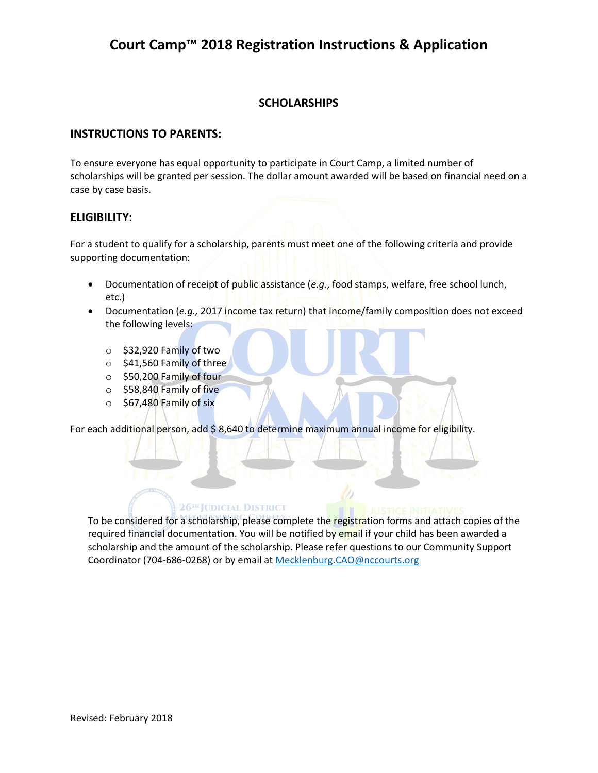### **SCHOLARSHIPS**

#### **INSTRUCTIONS TO PARENTS:**

To ensure everyone has equal opportunity to participate in Court Camp, a limited number of scholarships will be granted per session. The dollar amount awarded will be based on financial need on a case by case basis.

#### **ELIGIBILITY:**

For a student to qualify for a scholarship, parents must meet one of the following criteria and provide supporting documentation:

- Documentation of receipt of public assistance (*e.g.*, food stamps, welfare, free school lunch, etc.)
- Documentation (*e.g.,* 2017 income tax return) that income/family composition does not exceed the following levels:
	- o \$32,920 Family of two
	- $\circ$  \$41,560 Family of three
	- o \$50,200 Family of four
	- o \$58,840 Family of five
	- o \$67,480 Family of six

For each additional person, add \$ 8,640 to determine maximum annual income for eligibility.

#### 26<sup>TH</sup> JUDICIAL DISTRICT

To be considered for a scholarship, please complete the registration forms and attach copies of the required financial documentation. You will be notified by email if your child has been awarded a scholarship and the amount of the scholarship. Please refer questions to our Community Support Coordinator (704-686-0268) or by email at [Mecklenburg.CAO@nccourts.org](mailto:Mecklenburg.CAO@nccourts.org)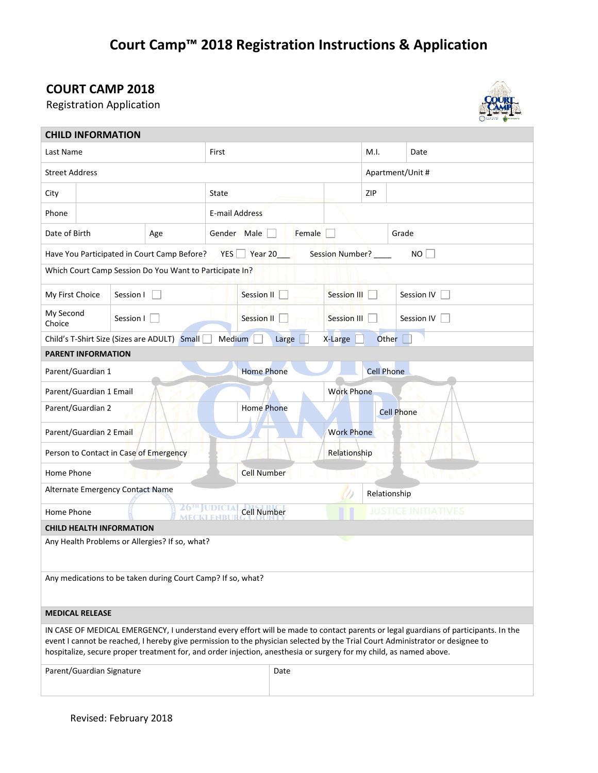## **COURT CAMP 2018**

Registration Application



|                                                                                                                                                                                                                                                                                                                                                                                           | <b>CHILD INFORMATION</b> |           |                                               |                    |                       |                   |                    |                            |                  |  |
|-------------------------------------------------------------------------------------------------------------------------------------------------------------------------------------------------------------------------------------------------------------------------------------------------------------------------------------------------------------------------------------------|--------------------------|-----------|-----------------------------------------------|--------------------|-----------------------|-------------------|--------------------|----------------------------|------------------|--|
| Last Name                                                                                                                                                                                                                                                                                                                                                                                 |                          |           |                                               | First              |                       |                   |                    |                            | Date             |  |
| <b>Street Address</b>                                                                                                                                                                                                                                                                                                                                                                     |                          |           |                                               |                    |                       |                   |                    |                            | Apartment/Unit # |  |
| City                                                                                                                                                                                                                                                                                                                                                                                      |                          |           |                                               | State              |                       |                   |                    | ZIP                        |                  |  |
| Phone                                                                                                                                                                                                                                                                                                                                                                                     |                          |           |                                               | E-mail Address     |                       |                   |                    |                            |                  |  |
| Date of Birth<br>Age                                                                                                                                                                                                                                                                                                                                                                      |                          |           |                                               |                    | Gender Male<br>Female |                   |                    | Grade                      |                  |  |
| Have You Participated in Court Camp Before?<br>$YES$ Year 20<br>Session Number? ____<br>NO                                                                                                                                                                                                                                                                                                |                          |           |                                               |                    |                       |                   |                    |                            |                  |  |
| Which Court Camp Session Do You Want to Participate In?                                                                                                                                                                                                                                                                                                                                   |                          |           |                                               |                    |                       |                   |                    |                            |                  |  |
| My First Choice                                                                                                                                                                                                                                                                                                                                                                           |                          | Session I |                                               |                    | <b>Session II</b>     |                   | <b>Session III</b> |                            | Session IV       |  |
| My Second<br>Choice                                                                                                                                                                                                                                                                                                                                                                       |                          | Session I |                                               |                    | <b>Session II</b>     |                   | Session III        |                            | Session IV       |  |
| Medium<br>Child's T-Shirt Size (Sizes are ADULT) Small<br>Large<br>Other  <br>X-Large                                                                                                                                                                                                                                                                                                     |                          |           |                                               |                    |                       |                   |                    |                            |                  |  |
| <b>PARENT INFORMATION</b>                                                                                                                                                                                                                                                                                                                                                                 |                          |           |                                               |                    |                       |                   |                    |                            |                  |  |
|                                                                                                                                                                                                                                                                                                                                                                                           | Parent/Guardian 1        |           |                                               | <b>Home Phone</b>  |                       |                   |                    | <b>Cell Phone</b>          |                  |  |
|                                                                                                                                                                                                                                                                                                                                                                                           | Parent/Guardian 1 Email  |           |                                               |                    |                       | <b>Work Phone</b> |                    |                            |                  |  |
| Parent/Guardian 2                                                                                                                                                                                                                                                                                                                                                                         |                          |           |                                               |                    | <b>Home Phone</b>     |                   |                    | <b>Cell Phone</b>          |                  |  |
| Parent/Guardian 2 Email                                                                                                                                                                                                                                                                                                                                                                   |                          |           |                                               |                    |                       |                   | <b>Work Phone</b>  |                            |                  |  |
| Person to Contact in Case of Emergency                                                                                                                                                                                                                                                                                                                                                    |                          |           |                                               |                    |                       |                   | Relationship       |                            |                  |  |
| Home Phone                                                                                                                                                                                                                                                                                                                                                                                |                          |           |                                               |                    | <b>Cell Number</b>    |                   |                    |                            |                  |  |
| Alternate Emergency Contact Name                                                                                                                                                                                                                                                                                                                                                          |                          |           |                                               |                    |                       |                   |                    | Relationship               |                  |  |
| Home Phone                                                                                                                                                                                                                                                                                                                                                                                |                          |           | 26 <sup>th</sup> JUDICIA<br><b>MECKLENBUL</b> | <b>Cell Number</b> |                       |                   |                    | <b>JUSTICE INITIATIVES</b> |                  |  |
| <b>CHILD HEALTH INFORMATION</b>                                                                                                                                                                                                                                                                                                                                                           |                          |           |                                               |                    |                       |                   |                    |                            |                  |  |
| ч.<br>Any Health Problems or Allergies? If so, what?                                                                                                                                                                                                                                                                                                                                      |                          |           |                                               |                    |                       |                   |                    |                            |                  |  |
| Any medications to be taken during Court Camp? If so, what?                                                                                                                                                                                                                                                                                                                               |                          |           |                                               |                    |                       |                   |                    |                            |                  |  |
|                                                                                                                                                                                                                                                                                                                                                                                           | <b>MEDICAL RELEASE</b>   |           |                                               |                    |                       |                   |                    |                            |                  |  |
| IN CASE OF MEDICAL EMERGENCY, I understand every effort will be made to contact parents or legal guardians of participants. In the<br>event I cannot be reached, I hereby give permission to the physician selected by the Trial Court Administrator or designee to<br>hospitalize, secure proper treatment for, and order injection, anesthesia or surgery for my child, as named above. |                          |           |                                               |                    |                       |                   |                    |                            |                  |  |
| Parent/Guardian Signature                                                                                                                                                                                                                                                                                                                                                                 |                          |           |                                               |                    |                       | Date              |                    |                            |                  |  |